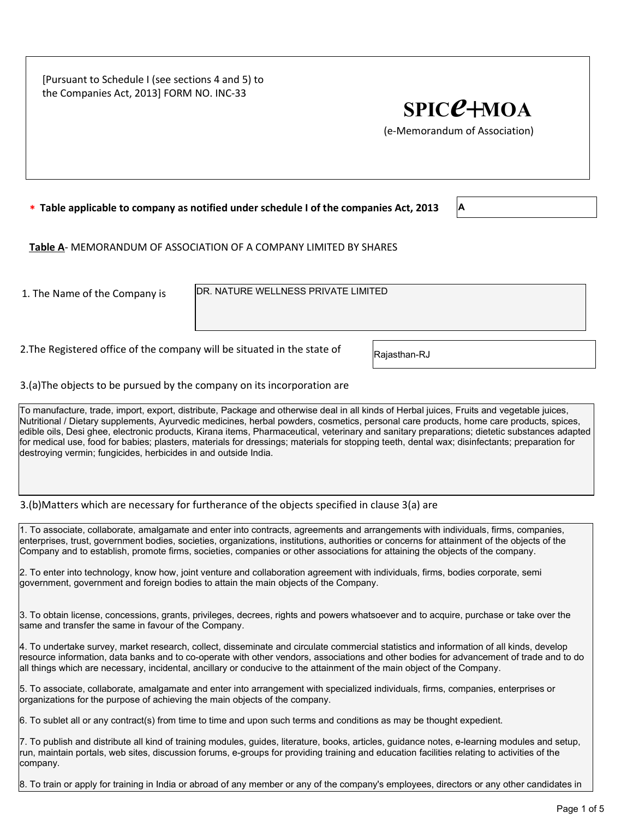[Pursuant to Schedule I (see sections 4 and 5) to the Companies Act, 2013] FORM NO. INC-33

## $SPIC<sup>2</sup>+MOA$

(e-Memorandum of Association)

 $*$  Table applicable to company as notified under schedule I of the companies Act, 2013  $\vert$  A

Table A- MEMORANDUM OF ASSOCIATION OF A COMPANY LIMITED BY SHARES

1. The Name of the Company is  $|{\sf DR.~NATURE~WELLNESS~PRIVATE~LIMITED}$ 

2. The Registered office of the company will be situated in the state of  $R$ ajasthan-RJ

3.(a)The objects to be pursued by the company on its incorporation are

To manufacture, trade, import, export, distribute, Package and otherwise deal in all kinds of Herbal juices, Fruits and vegetable juices, Nutritional / Dietary supplements, Ayurvedic medicines, herbal powders, cosmetics, personal care products, home care products, spices, edible oils, Desi ghee, electronic products, Kirana items, Pharmaceutical, veterinary and sanitary preparations; dietetic substances adapted for medical use, food for babies; plasters, materials for dressings; materials for stopping teeth, dental wax; disinfectants; preparation for destroying vermin; fungicides, herbicides in and outside India.

3.(b)Matters which are necessary for furtherance of the objects specified in clause 3(a) are

1. To associate, collaborate, amalgamate and enter into contracts, agreements and arrangements with individuals, firms, companies, enterprises, trust, government bodies, societies, organizations, institutions, authorities or concerns for attainment of the objects of the Company and to establish, promote firms, societies, companies or other associations for attaining the objects of the company.

2. To enter into technology, know how, joint venture and collaboration agreement with individuals, firms, bodies corporate, semi government, government and foreign bodies to attain the main objects of the Company.

3. To obtain license, concessions, grants, privileges, decrees, rights and powers whatsoever and to acquire, purchase or take over the same and transfer the same in favour of the Company.

4. To undertake survey, market research, collect, disseminate and circulate commercial statistics and information of all kinds, develop resource information, data banks and to co-operate with other vendors, associations and other bodies for advancement of trade and to do all things which are necessary, incidental, ancillary or conducive to the attainment of the main object of the Company.

5. To associate, collaborate, amalgamate and enter into arrangement with specialized individuals, firms, companies, enterprises or organizations for the purpose of achieving the main objects of the company.

6. To sublet all or any contract(s) from time to time and upon such terms and conditions as may be thought expedient.

7. To publish and distribute all kind of training modules, guides, literature, books, articles, guidance notes, e-learning modules and setup, run, maintain portals, web sites, discussion forums, e-groups for providing training and education facilities relating to activities of the company.

8. To train or apply for training in India or abroad of any member or any of the company's employees, directors or any other candidates in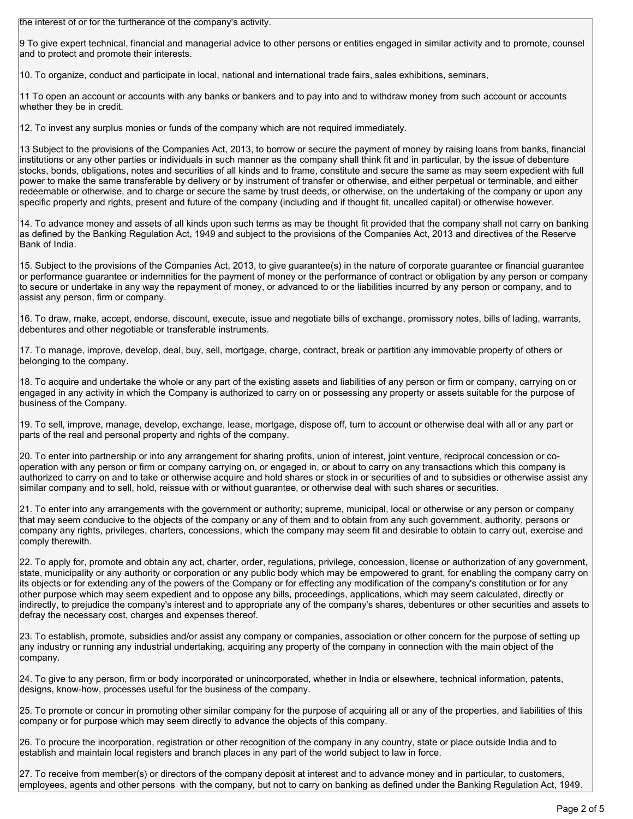the interest of or for the furtherance of the company's activity.

9 To give expert technical, financial and managerial advice to other persons or entities engaged in similar activity and to promote, counsel and to protect and promote their interests.

10. To organize, conduct and participate in local, national and international trade fairs, sales exhibitions, seminars,

11 To open an account or accounts with any banks or bankers and to pay into and to withdraw money from such account or accounts whether they be in credit.

12. To invest any surplus monies or funds of the company which are not required immediately.

13 Subject to the provisions of the Companies Act, 2013, to borrow or secure the payment of money by raising loans from banks, financial institutions or any other parties or individuals in such manner as the company shall think fit and in particular, by the issue of debenture stocks, bonds, obligations, notes and securities of all kinds and to frame, constitute and secure the same as may seem expedient with full power to make the same transferable by delivery or by instrument of transfer or otherwise, and either perpetual or terminable, and either redeemable or otherwise, and to charge or secure the same by trust deeds, or otherwise, on the undertaking of the company or upon any specific property and rights, present and future of the company (including and if thought fit, uncalled capital) or otherwise however.

14. To advance money and assets of all kinds upon such terms as may be thought fit provided that the company shall not carry on banking as defined by the Banking Regulation Act, 1949 and subject to the provisions of the Companies Act, 2013 and directives of the Reserve Bank of India.

15. Subject to the provisions of the Companies Act, 2013, to give guarantee(s) in the nature of corporate guarantee or financial guarantee or performance guarantee or indemnities for the payment of money or the performance of contract or obligation by any person or company to secure or undertake in any way the repayment of money, or advanced to or the liabilities incurred by any person or company, and to assist any person, firm or company.

16. To draw, make, accept, endorse, discount, execute, issue and negotiate bills of exchange, promissory notes, bills of lading, warrants, debentures and other negotiable or transferable instruments.

17. To manage, improve, develop, deal, buy, sell, mortgage, charge, contract, break or partition any immovable property of others or belonging to the company.

18. To acquire and undertake the whole or any part of the existing assets and liabilities of any person or firm or company, carrying on or engaged in any activity in which the Company is authorized to carry on or possessing any property or assets suitable for the purpose of business of the Company.

19. To sell, improve, manage, develop, exchange, lease, mortgage, dispose off, turn to account or otherwise deal with all or any part or parts of the real and personal property and rights of the company.

20. To enter into partnership or into any arrangement for sharing profits, union of interest, joint venture, reciprocal concession or cooperation with any person or firm or company carrying on, or engaged in, or about to carry on any transactions which this company is authorized to carry on and to take or otherwise acquire and hold shares or stock in or securities of and to subsidies or otherwise assist any similar company and to sell, hold, reissue with or without guarantee, or otherwise deal with such shares or securities.

21. To enter into any arrangements with the government or authority; supreme, municipal, local or otherwise or any person or company that may seem conducive to the objects of the company or any of them and to obtain from any such government, authority, persons or company any rights, privileges, charters, concessions, which the company may seem fit and desirable to obtain to carry out, exercise and comply therewith.

22. To apply for, promote and obtain any act, charter, order, regulations, privilege, concession, license or authorization of any government, state, municipality or any authority or corporation or any public body which may be empowered to grant, for enabling the company carry on its objects or for extending any of the powers of the Company or for effecting any modification of the company's constitution or for any other purpose which may seem expedient and to oppose any bills, proceedings, applications, which may seem calculated, directly or indirectly, to prejudice the company's interest and to appropriate any of the company's shares, debentures or other securities and assets to defray the necessary cost, charges and expenses thereof.

23. To establish, promote, subsidies and/or assist any company or companies, association or other concern for the purpose of setting up any industry or running any industrial undertaking, acquiring any property of the company in connection with the main object of the company.

24. To give to any person, firm or body incorporated or unincorporated, whether in India or elsewhere, technical information, patents, designs, know-how, processes useful for the business of the company.

25. To promote or concur in promoting other similar company for the purpose of acquiring all or any of the properties, and liabilities of this company or for purpose which may seem directly to advance the objects of this company.

26. To procure the incorporation, registration or other recognition of the company in any country, state or place outside India and to establish and maintain local registers and branch places in any part of the world subject to law in force.

27. To receive from member(s) or directors of the company deposit at interest and to advance money and in particular, to customers, employees, agents and other persons with the company, but not to carry on banking as defined under the Banking Regulation Act, 1949.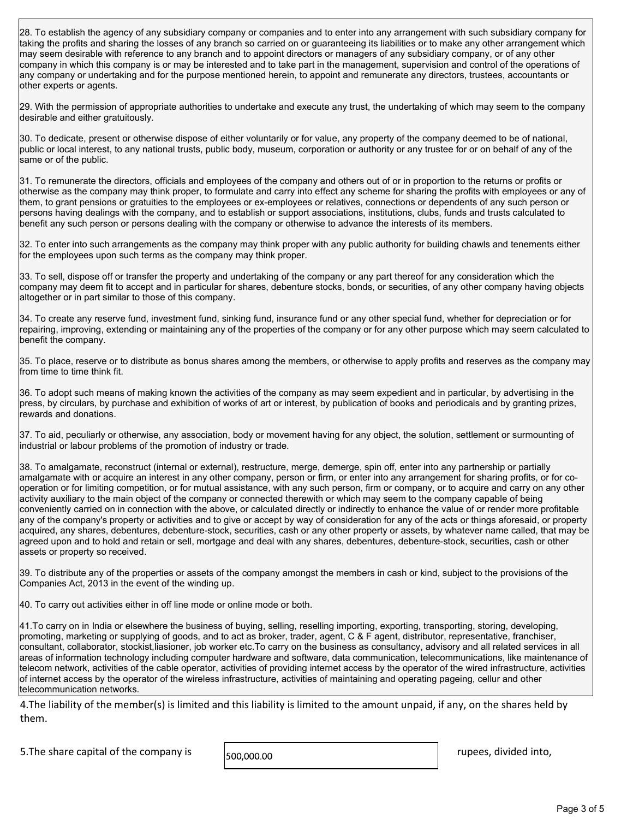28. To establish the agency of any subsidiary company or companies and to enter into any arrangement with such subsidiary company for taking the profits and sharing the losses of any branch so carried on or guaranteeing its liabilities or to make any other arrangement which may seem desirable with reference to any branch and to appoint directors or managers of any subsidiary company, or of any other company in which this company is or may be interested and to take part in the management, supervision and control of the operations of any company or undertaking and for the purpose mentioned herein, to appoint and remunerate any directors, trustees, accountants or other experts or agents.

29. With the permission of appropriate authorities to undertake and execute any trust, the undertaking of which may seem to the company desirable and either gratuitously.

30. To dedicate, present or otherwise dispose of either voluntarily or for value, any property of the company deemed to be of national, public or local interest, to any national trusts, public body, museum, corporation or authority or any trustee for or on behalf of any of the same or of the public.

31. To remunerate the directors, officials and employees of the company and others out of or in proportion to the returns or profits or otherwise as the company may think proper, to formulate and carry into effect any scheme for sharing the profits with employees or any of them, to grant pensions or gratuities to the employees or ex-employees or relatives, connections or dependents of any such person or persons having dealings with the company, and to establish or support associations, institutions, clubs, funds and trusts calculated to benefit any such person or persons dealing with the company or otherwise to advance the interests of its members.

32. To enter into such arrangements as the company may think proper with any public authority for building chawls and tenements either for the employees upon such terms as the company may think proper.

 $|33$ . To sell, dispose off or transfer the property and undertaking of the company or any part thereof for any consideration which the company may deem fit to accept and in particular for shares, debenture stocks, bonds, or securities, of any other company having objects altogether or in part similar to those of this company.

34. To create any reserve fund, investment fund, sinking fund, insurance fund or any other special fund, whether for depreciation or for repairing, improving, extending or maintaining any of the properties of the company or for any other purpose which may seem calculated to benefit the company.

35. To place, reserve or to distribute as bonus shares among the members, or otherwise to apply profits and reserves as the company may from time to time think fit.

36. To adopt such means of making known the activities of the company as may seem expedient and in particular, by advertising in the press, by circulars, by purchase and exhibition of works of art or interest, by publication of books and periodicals and by granting prizes, rewards and donations.

37. To aid, peculiarly or otherwise, any association, body or movement having for any object, the solution, settlement or surmounting of industrial or labour problems of the promotion of industry or trade.

38. To amalgamate, reconstruct (internal or external), restructure, merge, demerge, spin off, enter into any partnership or partially amalgamate with or acquire an interest in any other company, person or firm, or enter into any arrangement for sharing profits, or for cooperation or for limiting competition, or for mutual assistance, with any such person, firm or company, or to acquire and carry on any other activity auxiliary to the main object of the company or connected therewith or which may seem to the company capable of being conveniently carried on in connection with the above, or calculated directly or indirectly to enhance the value of or render more profitable any of the company's property or activities and to give or accept by way of consideration for any of the acts or things aforesaid, or property acquired, any shares, debentures, debenture-stock, securities, cash or any other property or assets, by whatever name called, that may be agreed upon and to hold and retain or sell, mortgage and deal with any shares, debentures, debenture-stock, securities, cash or other assets or property so received.

39. To distribute any of the properties or assets of the company amongst the members in cash or kind, subject to the provisions of the Companies Act, 2013 in the event of the winding up.

40. To carry out activities either in off line mode or online mode or both.

41.To carry on in India or elsewhere the business of buying, selling, reselling importing, exporting, transporting, storing, developing, promoting, marketing or supplying of goods, and to act as broker, trader, agent, C & F agent, distributor, representative, franchiser, consultant, collaborator, stockist,liasioner, job worker etc.To carry on the business as consultancy, advisory and all related services in all areas of information technology including computer hardware and software, data communication, telecommunications, like maintenance of telecom network, activities of the cable operator, activities of providing internet access by the operator of the wired infrastructure, activities of internet access by the operator of the wireless infrastructure, activities of maintaining and operating pageing, cellur and other telecommunication networks.

4.The liability of the member(s) is limited and this liability is limited to the amount unpaid, if any, on the shares held by them.

5. The share capital of the company is  $\vert$   $\vert$  500,000.00  $\vert$  rupees, divided into,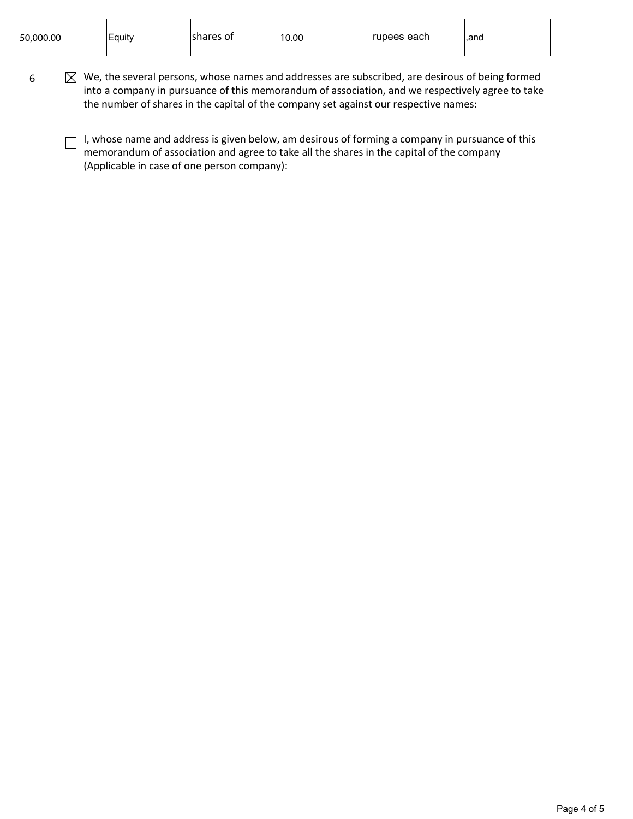| 50,000.00 | Equity | Ishares of | 10.00 | rupees each | l.and |
|-----------|--------|------------|-------|-------------|-------|
|           |        |            |       |             |       |

- $6 \times \boxtimes$  We, the several persons, whose names and addresses are subscribed, are desirous of being formed into a company in pursuance of this memorandum of association, and we respectively agree to take the number of shares in the capital of the company set against our respective names:
	- I, whose name and address is given below, am desirous of forming a company in pursuance of this memorandum of association and agree to take all the shares in the capital of the company (Applicable in case of one person company):